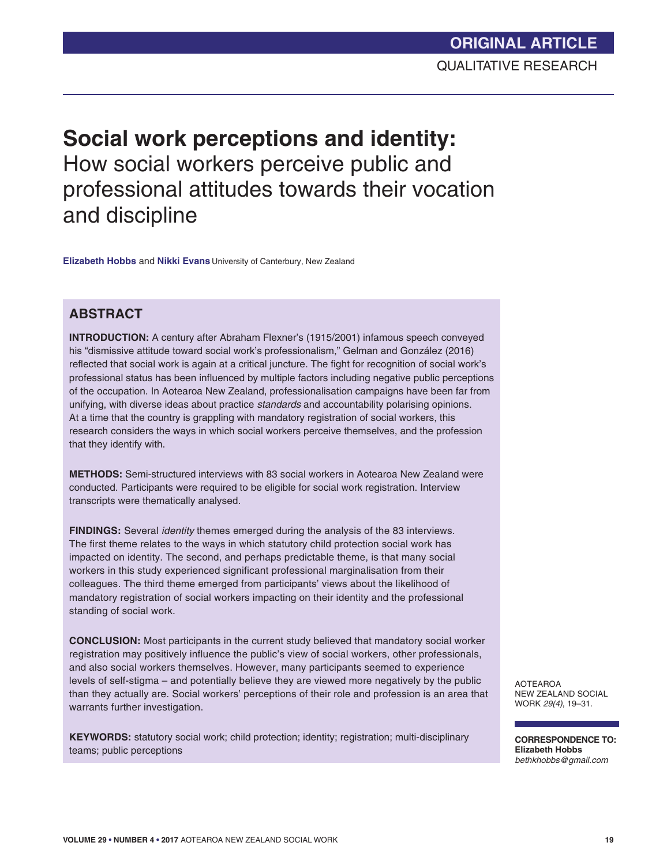# **Social work perceptions and identity:**  How social workers perceive public and professional attitudes towards their vocation and discipline

**Elizabeth Hobbs** and **Nikki Evans** University of Canterbury, New Zealand

# **ABSTRACT**

**INTRODUCTION:** A century after Abraham Flexner's (1915/2001) infamous speech conveyed his "dismissive attitude toward social work's professionalism," Gelman and González (2016) reflected that social work is again at a critical juncture. The fight for recognition of social work's professional status has been influenced by multiple factors including negative public perceptions of the occupation. In Aotearoa New Zealand, professionalisation campaigns have been far from unifying, with diverse ideas about practice *standards* and accountability polarising opinions. At a time that the country is grappling with mandatory registration of social workers, this research considers the ways in which social workers perceive themselves, and the profession that they identify with.

**METHODS:** Semi-structured interviews with 83 social workers in Aotearoa New Zealand were conducted. Participants were required to be eligible for social work registration. Interview transcripts were thematically analysed.

**FINDINGS:** Several *identity* themes emerged during the analysis of the 83 interviews. The first theme relates to the ways in which statutory child protection social work has impacted on identity. The second, and perhaps predictable theme, is that many social workers in this study experienced significant professional marginalisation from their colleagues. The third theme emerged from participants' views about the likelihood of mandatory registration of social workers impacting on their identity and the professional standing of social work.

**CONCLUSION:** Most participants in the current study believed that mandatory social worker registration may positively influence the public's view of social workers, other professionals, and also social workers themselves. However, many participants seemed to experience levels of self-stigma – and potentially believe they are viewed more negatively by the public than they actually are. Social workers' perceptions of their role and profession is an area that warrants further investigation.

**KEYWORDS:** statutory social work; child protection; identity; registration; multi-disciplinary teams; public perceptions

AOTEAROA NEW ZEALAND SOCIAL WORK *29(4)*, 19–31.

**CORRESPONDENCE TO: Elizabeth Hobbs** *bethkhobbs@gmail.com*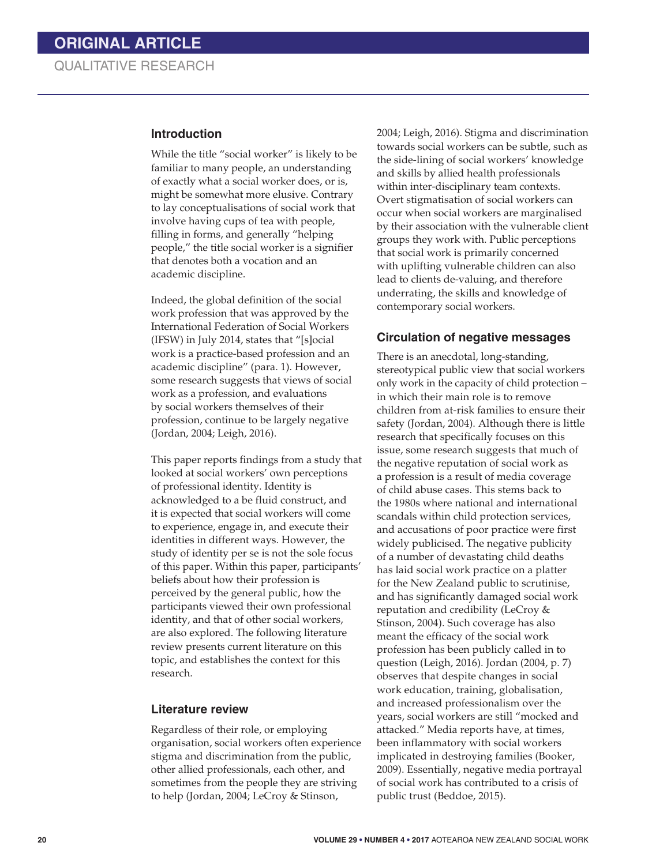#### **Introduction**

While the title "social worker" is likely to be familiar to many people, an understanding of exactly what a social worker does, or is, might be somewhat more elusive. Contrary to lay conceptualisations of social work that involve having cups of tea with people, filling in forms, and generally "helping people," the title social worker is a signifier that denotes both a vocation and an academic discipline.

Indeed, the global definition of the social work profession that was approved by the International Federation of Social Workers (IFSW) in July 2014, states that "[s]ocial work is a practice-based profession and an academic discipline" (para. 1). However, some research suggests that views of social work as a profession, and evaluations by social workers themselves of their profession, continue to be largely negative (Jordan, 2004; Leigh, 2016).

This paper reports findings from a study that looked at social workers' own perceptions of professional identity. Identity is acknowledged to a be fluid construct, and it is expected that social workers will come to experience, engage in, and execute their identities in different ways. However, the study of identity per se is not the sole focus of this paper. Within this paper, participants' beliefs about how their profession is perceived by the general public, how the participants viewed their own professional identity, and that of other social workers, are also explored. The following literature review presents current literature on this topic, and establishes the context for this research.

#### **Literature review**

Regardless of their role, or employing organisation, social workers often experience stigma and discrimination from the public, other allied professionals, each other, and sometimes from the people they are striving to help (Jordan, 2004; LeCroy & Stinson,

2004; Leigh, 2016). Stigma and discrimination towards social workers can be subtle, such as the side-lining of social workers' knowledge and skills by allied health professionals within inter-disciplinary team contexts. Overt stigmatisation of social workers can occur when social workers are marginalised by their association with the vulnerable client groups they work with. Public perceptions that social work is primarily concerned with uplifting vulnerable children can also lead to clients de-valuing, and therefore underrating, the skills and knowledge of contemporary social workers.

### **Circulation of negative messages**

There is an anecdotal, long-standing, stereotypical public view that social workers only work in the capacity of child protection – in which their main role is to remove children from at-risk families to ensure their safety (Jordan, 2004). Although there is little research that specifically focuses on this issue, some research suggests that much of the negative reputation of social work as a profession is a result of media coverage of child abuse cases. This stems back to the 1980s where national and international scandals within child protection services, and accusations of poor practice were first widely publicised. The negative publicity of a number of devastating child deaths has laid social work practice on a platter for the New Zealand public to scrutinise, and has significantly damaged social work reputation and credibility (LeCroy & Stinson, 2004). Such coverage has also meant the efficacy of the social work profession has been publicly called in to question (Leigh, 2016). Jordan (2004, p. 7) observes that despite changes in social work education, training, globalisation, and increased professionalism over the years, social workers are still "mocked and attacked." Media reports have, at times, been inflammatory with social workers implicated in destroying families (Booker, 2009). Essentially, negative media portrayal of social work has contributed to a crisis of public trust (Beddoe, 2015).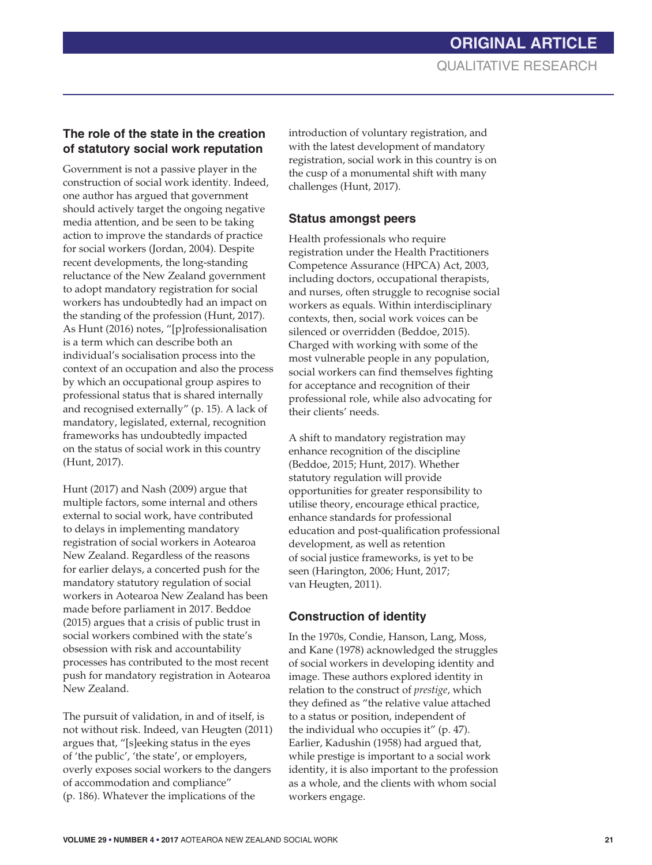# **The role of the state in the creation of statutory social work reputation**

Government is not a passive player in the construction of social work identity. Indeed, one author has argued that government should actively target the ongoing negative media attention, and be seen to be taking action to improve the standards of practice for social workers (Jordan, 2004). Despite recent developments, the long-standing reluctance of the New Zealand government to adopt mandatory registration for social workers has undoubtedly had an impact on the standing of the profession (Hunt, 2017). As Hunt (2016) notes, "[p]rofessionalisation is a term which can describe both an individual's socialisation process into the context of an occupation and also the process by which an occupational group aspires to professional status that is shared internally and recognised externally" (p. 15). A lack of mandatory, legislated, external, recognition frameworks has undoubtedly impacted on the status of social work in this country (Hunt, 2017).

Hunt (2017) and Nash (2009) argue that multiple factors, some internal and others external to social work, have contributed to delays in implementing mandatory registration of social workers in Aotearoa New Zealand. Regardless of the reasons for earlier delays, a concerted push for the mandatory statutory regulation of social workers in Aotearoa New Zealand has been made before parliament in 2017. Beddoe (2015) argues that a crisis of public trust in social workers combined with the state's obsession with risk and accountability processes has contributed to the most recent push for mandatory registration in Aotearoa New Zealand.

The pursuit of validation, in and of itself, is not without risk. Indeed, van Heugten (2011) argues that, "[s]eeking status in the eyes of 'the public', 'the state', or employers, overly exposes social workers to the dangers of accommodation and compliance" (p. 186). Whatever the implications of the

introduction of voluntary registration, and with the latest development of mandatory registration, social work in this country is on the cusp of a monumental shift with many challenges (Hunt, 2017).

### **Status amongst peers**

Health professionals who require registration under the Health Practitioners Competence Assurance (HPCA) Act, 2003, including doctors, occupational therapists, and nurses, often struggle to recognise social workers as equals. Within interdisciplinary contexts, then, social work voices can be silenced or overridden (Beddoe, 2015). Charged with working with some of the most vulnerable people in any population, social workers can find themselves fighting for acceptance and recognition of their professional role, while also advocating for their clients' needs.

A shift to mandatory registration may enhance recognition of the discipline (Beddoe, 2015; Hunt, 2017). Whether statutory regulation will provide opportunities for greater responsibility to utilise theory, encourage ethical practice, enhance standards for professional education and post-qualification professional development, as well as retention of social justice frameworks, is yet to be seen (Harington, 2006; Hunt, 2017; van Heugten, 2011).

## **Construction of identity**

In the 1970s, Condie, Hanson, Lang, Moss, and Kane (1978) acknowledged the struggles of social workers in developing identity and image. These authors explored identity in relation to the construct of *prestige*, which they defined as "the relative value attached to a status or position, independent of the individual who occupies it" (p. 47). Earlier, Kadushin (1958) had argued that, while prestige is important to a social work identity, it is also important to the profession as a whole, and the clients with whom social workers engage.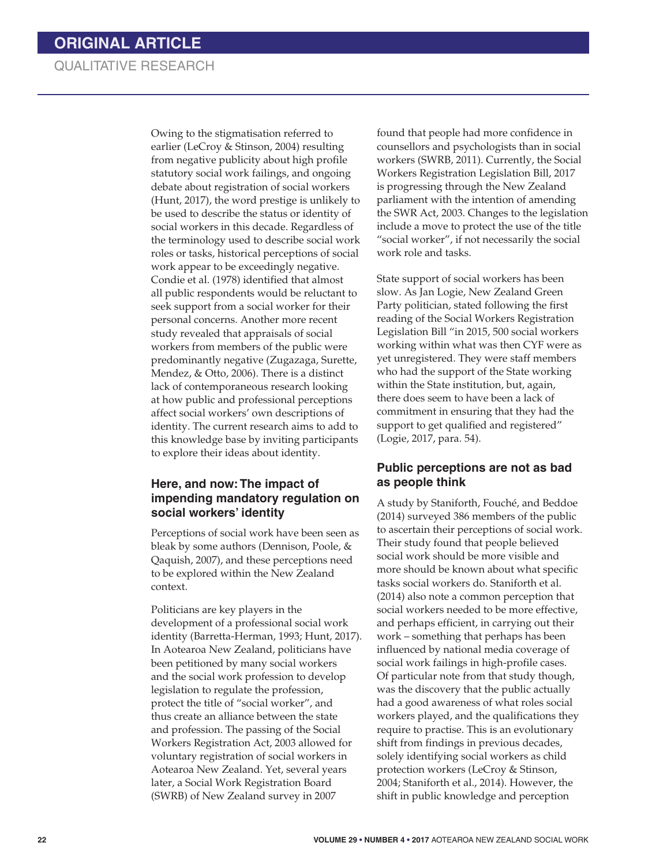# QUALITATIVE RESEARCH

Owing to the stigmatisation referred to earlier (LeCroy & Stinson, 2004) resulting from negative publicity about high profile statutory social work failings, and ongoing debate about registration of social workers (Hunt, 2017), the word prestige is unlikely to be used to describe the status or identity of social workers in this decade. Regardless of the terminology used to describe social work roles or tasks, historical perceptions of social work appear to be exceedingly negative. Condie et al. (1978) identified that almost all public respondents would be reluctant to seek support from a social worker for their personal concerns. Another more recent study revealed that appraisals of social workers from members of the public were predominantly negative (Zugazaga, Surette, Mendez, & Otto, 2006). There is a distinct lack of contemporaneous research looking at how public and professional perceptions affect social workers' own descriptions of identity. The current research aims to add to this knowledge base by inviting participants to explore their ideas about identity.

## **Here, and now: The impact of impending mandatory regulation on social workers' identity**

Perceptions of social work have been seen as bleak by some authors (Dennison, Poole, & Qaquish, 2007), and these perceptions need to be explored within the New Zealand context.

Politicians are key players in the development of a professional social work identity (Barretta-Herman, 1993; Hunt, 2017). In Aotearoa New Zealand, politicians have been petitioned by many social workers and the social work profession to develop legislation to regulate the profession, protect the title of "social worker", and thus create an alliance between the state and profession. The passing of the Social Workers Registration Act, 2003 allowed for voluntary registration of social workers in Aotearoa New Zealand. Yet, several years later, a Social Work Registration Board (SWRB) of New Zealand survey in 2007

found that people had more confidence in counsellors and psychologists than in social workers (SWRB, 2011). Currently, the Social Workers Registration Legislation Bill, 2017 is progressing through the New Zealand parliament with the intention of amending the SWR Act, 2003. Changes to the legislation include a move to protect the use of the title "social worker", if not necessarily the social work role and tasks.

State support of social workers has been slow. As Jan Logie, New Zealand Green Party politician, stated following the first reading of the Social Workers Registration Legislation Bill "in 2015, 500 social workers working within what was then CYF were as yet unregistered. They were staff members who had the support of the State working within the State institution, but, again, there does seem to have been a lack of commitment in ensuring that they had the support to get qualified and registered" (Logie, 2017, para. 54).

### **Public perceptions are not as bad as people think**

A study by Staniforth, Fouché, and Beddoe (2014) surveyed 386 members of the public to ascertain their perceptions of social work. Their study found that people believed social work should be more visible and more should be known about what specific tasks social workers do. Staniforth et al. (2014) also note a common perception that social workers needed to be more effective, and perhaps efficient, in carrying out their work – something that perhaps has been influenced by national media coverage of social work failings in high-profile cases. Of particular note from that study though, was the discovery that the public actually had a good awareness of what roles social workers played, and the qualifications they require to practise. This is an evolutionary shift from findings in previous decades, solely identifying social workers as child protection workers (LeCroy & Stinson, 2004; Staniforth et al., 2014). However, the shift in public knowledge and perception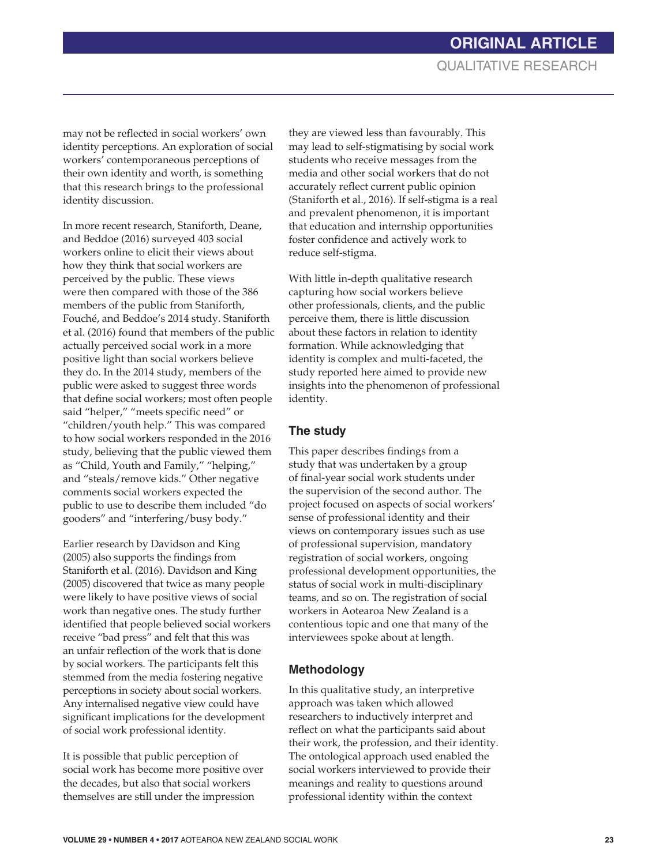may not be reflected in social workers' own identity perceptions. An exploration of social workers' contemporaneous perceptions of their own identity and worth, is something that this research brings to the professional identity discussion.

In more recent research, Staniforth, Deane, and Beddoe (2016) surveyed 403 social workers online to elicit their views about how they think that social workers are perceived by the public. These views were then compared with those of the 386 members of the public from Staniforth, Fouché, and Beddoe's 2014 study. Staniforth et al. (2016) found that members of the public actually perceived social work in a more positive light than social workers believe they do. In the 2014 study, members of the public were asked to suggest three words that define social workers; most often people said "helper," "meets specific need" or "children/youth help." This was compared to how social workers responded in the 2016 study, believing that the public viewed them as "Child, Youth and Family," "helping," and "steals/remove kids." Other negative comments social workers expected the public to use to describe them included "do gooders" and "interfering/busy body."

Earlier research by Davidson and King (2005) also supports the findings from Staniforth et al. (2016). Davidson and King (2005) discovered that twice as many people were likely to have positive views of social work than negative ones. The study further identified that people believed social workers receive "bad press" and felt that this was an unfair reflection of the work that is done by social workers. The participants felt this stemmed from the media fostering negative perceptions in society about social workers. Any internalised negative view could have significant implications for the development of social work professional identity.

It is possible that public perception of social work has become more positive over the decades, but also that social workers themselves are still under the impression

they are viewed less than favourably. This may lead to self-stigmatising by social work students who receive messages from the media and other social workers that do not accurately reflect current public opinion (Staniforth et al., 2016). If self-stigma is a real and prevalent phenomenon, it is important that education and internship opportunities foster confidence and actively work to reduce self-stigma.

With little in-depth qualitative research capturing how social workers believe other professionals, clients, and the public perceive them, there is little discussion about these factors in relation to identity formation. While acknowledging that identity is complex and multi-faceted, the study reported here aimed to provide new insights into the phenomenon of professional identity.

### **The study**

This paper describes findings from a study that was undertaken by a group of final-year social work students under the supervision of the second author. The project focused on aspects of social workers' sense of professional identity and their views on contemporary issues such as use of professional supervision, mandatory registration of social workers, ongoing professional development opportunities, the status of social work in multi-disciplinary teams, and so on. The registration of social workers in Aotearoa New Zealand is a contentious topic and one that many of the interviewees spoke about at length.

## **Methodology**

In this qualitative study, an interpretive approach was taken which allowed researchers to inductively interpret and reflect on what the participants said about their work, the profession, and their identity. The ontological approach used enabled the social workers interviewed to provide their meanings and reality to questions around professional identity within the context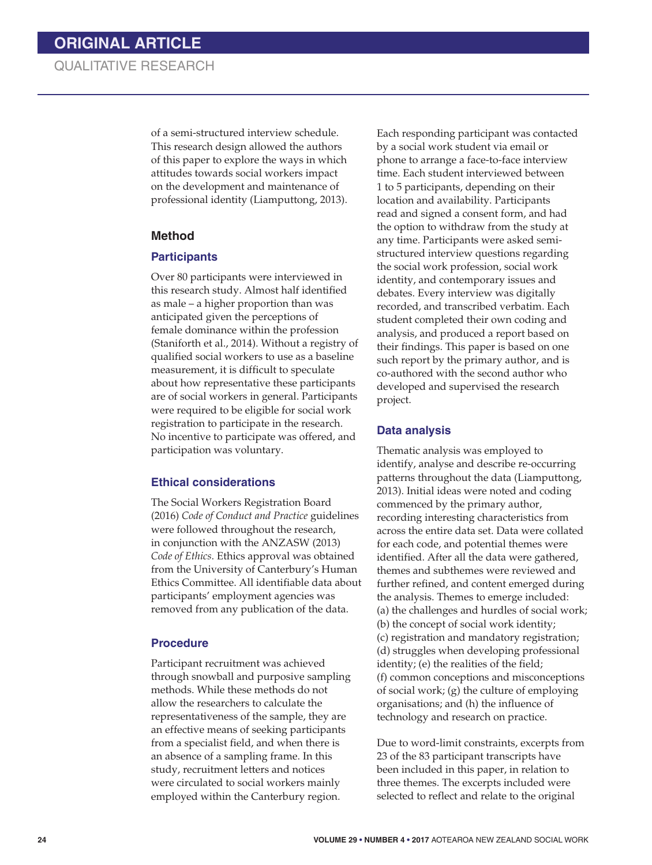of a semi-structured interview schedule. This research design allowed the authors of this paper to explore the ways in which attitudes towards social workers impact on the development and maintenance of professional identity (Liamputtong, 2013).

#### **Method**

#### **Participants**

Over 80 participants were interviewed in this research study. Almost half identified as male – a higher proportion than was anticipated given the perceptions of female dominance within the profession (Staniforth et al., 2014). Without a registry of qualified social workers to use as a baseline measurement, it is difficult to speculate about how representative these participants are of social workers in general. Participants were required to be eligible for social work registration to participate in the research. No incentive to participate was offered, and participation was voluntary.

#### **Ethical considerations**

The Social Workers Registration Board (2016) *Code of Conduct and Practice* guidelines were followed throughout the research, in conjunction with the ANZASW (2013) *Code of Ethics*. Ethics approval was obtained from the University of Canterbury's Human Ethics Committee. All identifiable data about participants' employment agencies was removed from any publication of the data.

#### **Procedure**

Participant recruitment was achieved through snowball and purposive sampling methods. While these methods do not allow the researchers to calculate the representativeness of the sample, they are an effective means of seeking participants from a specialist field, and when there is an absence of a sampling frame. In this study, recruitment letters and notices were circulated to social workers mainly employed within the Canterbury region.

Each responding participant was contacted by a social work student via email or phone to arrange a face-to-face interview time. Each student interviewed between 1 to 5 participants, depending on their location and availability. Participants read and signed a consent form, and had the option to withdraw from the study at any time. Participants were asked semistructured interview questions regarding the social work profession, social work identity, and contemporary issues and debates. Every interview was digitally recorded, and transcribed verbatim. Each student completed their own coding and analysis, and produced a report based on their findings. This paper is based on one such report by the primary author, and is co-authored with the second author who developed and supervised the research project.

#### **Data analysis**

Thematic analysis was employed to identify, analyse and describe re-occurring patterns throughout the data (Liamputtong, 2013). Initial ideas were noted and coding commenced by the primary author, recording interesting characteristics from across the entire data set. Data were collated for each code, and potential themes were identified. After all the data were gathered, themes and subthemes were reviewed and further refined, and content emerged during the analysis. Themes to emerge included: (a) the challenges and hurdles of social work; (b) the concept of social work identity; (c) registration and mandatory registration; (d) struggles when developing professional identity; (e) the realities of the field; (f) common conceptions and misconceptions of social work; (g) the culture of employing organisations; and (h) the influence of technology and research on practice.

Due to word-limit constraints, excerpts from 23 of the 83 participant transcripts have been included in this paper, in relation to three themes. The excerpts included were selected to reflect and relate to the original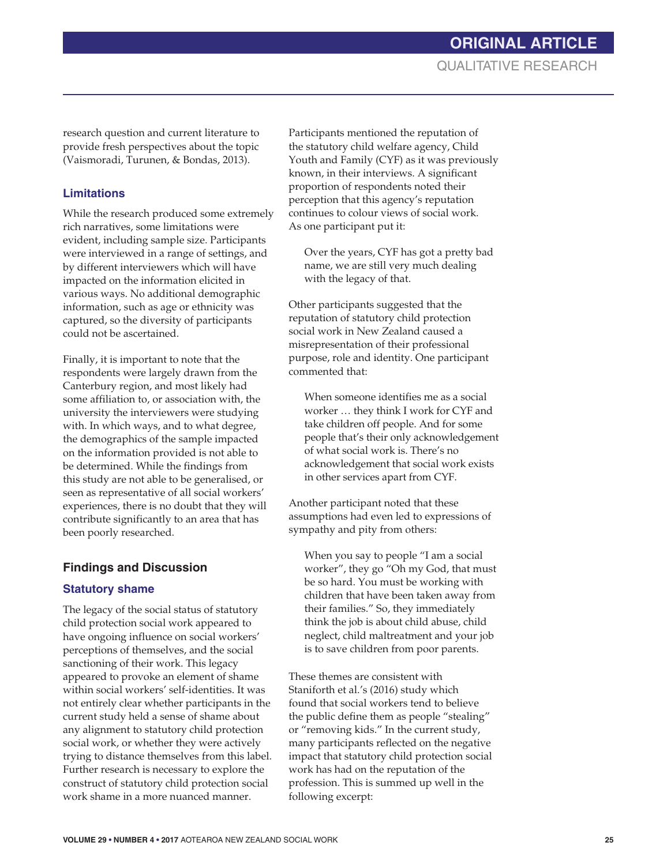research question and current literature to provide fresh perspectives about the topic (Vaismoradi, Turunen, & Bondas, 2013).

# **Limitations**

While the research produced some extremely rich narratives, some limitations were evident, including sample size. Participants were interviewed in a range of settings, and by different interviewers which will have impacted on the information elicited in various ways. No additional demographic information, such as age or ethnicity was captured, so the diversity of participants could not be ascertained.

Finally, it is important to note that the respondents were largely drawn from the Canterbury region, and most likely had some affiliation to, or association with, the university the interviewers were studying with. In which ways, and to what degree, the demographics of the sample impacted on the information provided is not able to be determined. While the findings from this study are not able to be generalised, or seen as representative of all social workers' experiences, there is no doubt that they will contribute significantly to an area that has been poorly researched.

# **Findings and Discussion**

# **Statutory shame**

The legacy of the social status of statutory child protection social work appeared to have ongoing influence on social workers' perceptions of themselves, and the social sanctioning of their work. This legacy appeared to provoke an element of shame within social workers' self-identities. It was not entirely clear whether participants in the current study held a sense of shame about any alignment to statutory child protection social work, or whether they were actively trying to distance themselves from this label. Further research is necessary to explore the construct of statutory child protection social work shame in a more nuanced manner.

Participants mentioned the reputation of the statutory child welfare agency, Child Youth and Family (CYF) as it was previously known, in their interviews. A significant proportion of respondents noted their perception that this agency's reputation continues to colour views of social work. As one participant put it:

Over the years, CYF has got a pretty bad name, we are still very much dealing with the legacy of that.

Other participants suggested that the reputation of statutory child protection social work in New Zealand caused a misrepresentation of their professional purpose, role and identity. One participant commented that:

When someone identifies me as a social worker … they think I work for CYF and take children off people. And for some people that's their only acknowledgement of what social work is. There's no acknowledgement that social work exists in other services apart from CYF.

Another participant noted that these assumptions had even led to expressions of sympathy and pity from others:

When you say to people "I am a social worker", they go "Oh my God, that must be so hard. You must be working with children that have been taken away from their families." So, they immediately think the job is about child abuse, child neglect, child maltreatment and your job is to save children from poor parents.

These themes are consistent with Staniforth et al.'s (2016) study which found that social workers tend to believe the public define them as people "stealing" or "removing kids." In the current study, many participants reflected on the negative impact that statutory child protection social work has had on the reputation of the profession. This is summed up well in the following excerpt: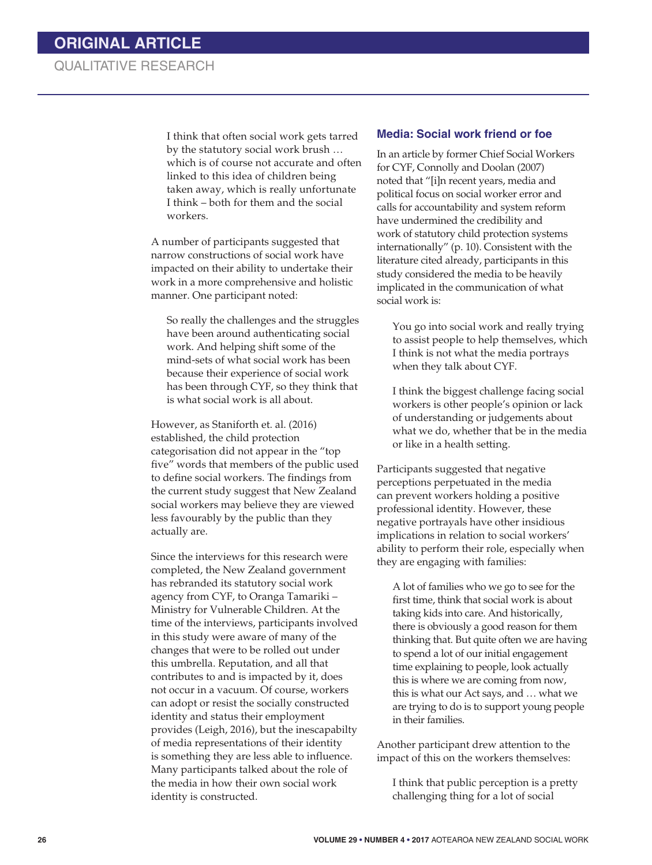I think that often social work gets tarred by the statutory social work brush … which is of course not accurate and often linked to this idea of children being taken away, which is really unfortunate I think – both for them and the social workers.

A number of participants suggested that narrow constructions of social work have impacted on their ability to undertake their work in a more comprehensive and holistic manner. One participant noted:

So really the challenges and the struggles have been around authenticating social work. And helping shift some of the mind-sets of what social work has been because their experience of social work has been through CYF, so they think that is what social work is all about.

However, as Staniforth et. al. (2016) established, the child protection categorisation did not appear in the "top five" words that members of the public used to define social workers. The findings from the current study suggest that New Zealand social workers may believe they are viewed less favourably by the public than they actually are.

Since the interviews for this research were completed, the New Zealand government has rebranded its statutory social work agency from CYF, to Oranga Tamariki – Ministry for Vulnerable Children. At the time of the interviews, participants involved in this study were aware of many of the changes that were to be rolled out under this umbrella. Reputation, and all that contributes to and is impacted by it, does not occur in a vacuum. Of course, workers can adopt or resist the socially constructed identity and status their employment provides (Leigh, 2016), but the inescapabilty of media representations of their identity is something they are less able to influence. Many participants talked about the role of the media in how their own social work identity is constructed.

#### **Media: Social work friend or foe**

In an article by former Chief Social Workers for CYF, Connolly and Doolan (2007) noted that "[i]n recent years, media and political focus on social worker error and calls for accountability and system reform have undermined the credibility and work of statutory child protection systems internationally" (p. 10). Consistent with the literature cited already, participants in this study considered the media to be heavily implicated in the communication of what social work is:

You go into social work and really trying to assist people to help themselves, which I think is not what the media portrays when they talk about CYF.

I think the biggest challenge facing social workers is other people's opinion or lack of understanding or judgements about what we do, whether that be in the media or like in a health setting.

Participants suggested that negative perceptions perpetuated in the media can prevent workers holding a positive professional identity. However, these negative portrayals have other insidious implications in relation to social workers' ability to perform their role, especially when they are engaging with families:

A lot of families who we go to see for the first time, think that social work is about taking kids into care. And historically, there is obviously a good reason for them thinking that. But quite often we are having to spend a lot of our initial engagement time explaining to people, look actually this is where we are coming from now, this is what our Act says, and … what we are trying to do is to support young people in their families.

Another participant drew attention to the impact of this on the workers themselves:

I think that public perception is a pretty challenging thing for a lot of social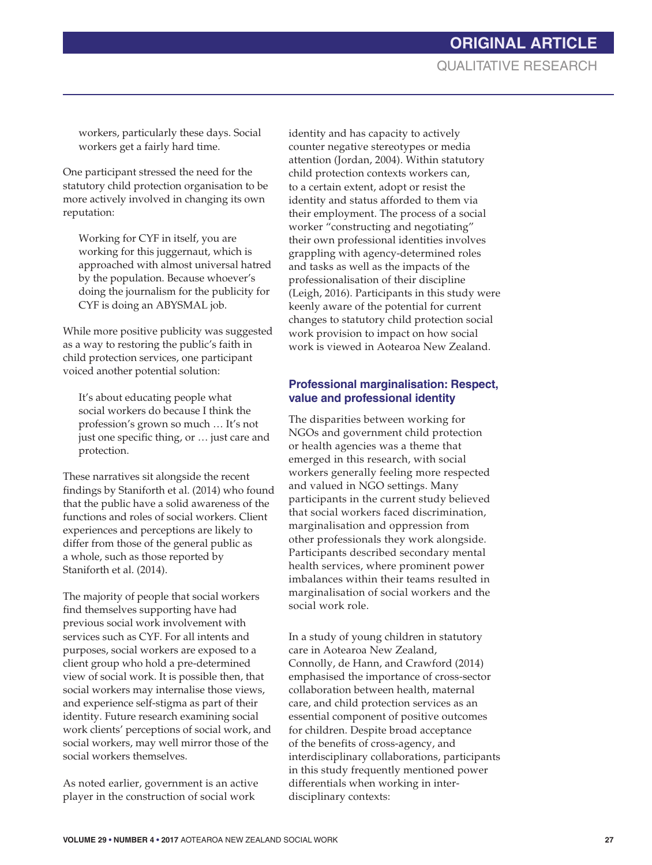# **ORIGINAL ARTICLE** QUALITATIVE RESEARCH

workers, particularly these days. Social workers get a fairly hard time.

One participant stressed the need for the statutory child protection organisation to be more actively involved in changing its own reputation:

Working for CYF in itself, you are working for this juggernaut, which is approached with almost universal hatred by the population. Because whoever's doing the journalism for the publicity for CYF is doing an ABYSMAL job.

While more positive publicity was suggested as a way to restoring the public's faith in child protection services, one participant voiced another potential solution:

It's about educating people what social workers do because I think the profession's grown so much … It's not just one specific thing, or … just care and protection.

These narratives sit alongside the recent findings by Staniforth et al. (2014) who found that the public have a solid awareness of the functions and roles of social workers. Client experiences and perceptions are likely to differ from those of the general public as a whole, such as those reported by Staniforth et al. (2014).

The majority of people that social workers find themselves supporting have had previous social work involvement with services such as CYF. For all intents and purposes, social workers are exposed to a client group who hold a pre-determined view of social work. It is possible then, that social workers may internalise those views, and experience self-stigma as part of their identity. Future research examining social work clients' perceptions of social work, and social workers, may well mirror those of the social workers themselves.

As noted earlier, government is an active player in the construction of social work

identity and has capacity to actively counter negative stereotypes or media attention (Jordan, 2004). Within statutory child protection contexts workers can, to a certain extent, adopt or resist the identity and status afforded to them via their employment. The process of a social worker "constructing and negotiating" their own professional identities involves grappling with agency-determined roles and tasks as well as the impacts of the professionalisation of their discipline (Leigh, 2016). Participants in this study were keenly aware of the potential for current changes to statutory child protection social work provision to impact on how social work is viewed in Aotearoa New Zealand.

### **Professional marginalisation: Respect, value and professional identity**

The disparities between working for NGOs and government child protection or health agencies was a theme that emerged in this research, with social workers generally feeling more respected and valued in NGO settings. Many participants in the current study believed that social workers faced discrimination, marginalisation and oppression from other professionals they work alongside. Participants described secondary mental health services, where prominent power imbalances within their teams resulted in marginalisation of social workers and the social work role.

In a study of young children in statutory care in Aotearoa New Zealand, Connolly, de Hann, and Crawford (2014) emphasised the importance of cross-sector collaboration between health, maternal care, and child protection services as an essential component of positive outcomes for children. Despite broad acceptance of the benefits of cross-agency, and interdisciplinary collaborations, participants in this study frequently mentioned power differentials when working in interdisciplinary contexts: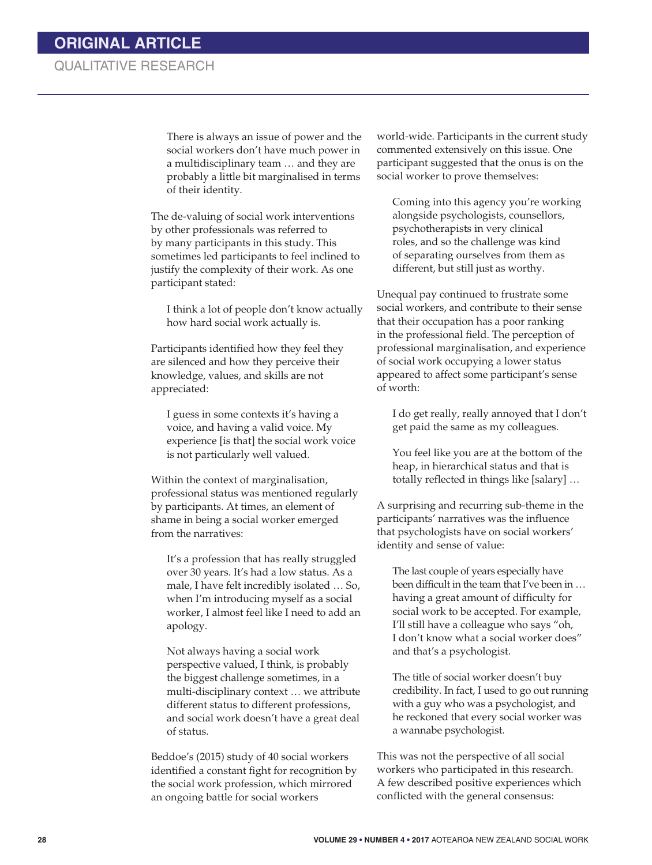# QUALITATIVE RESEARCH

There is always an issue of power and the social workers don't have much power in a multidisciplinary team … and they are probably a little bit marginalised in terms of their identity.

The de-valuing of social work interventions by other professionals was referred to by many participants in this study. This sometimes led participants to feel inclined to justify the complexity of their work. As one participant stated:

I think a lot of people don't know actually how hard social work actually is.

Participants identified how they feel they are silenced and how they perceive their knowledge, values, and skills are not appreciated:

I guess in some contexts it's having a voice, and having a valid voice. My experience [is that] the social work voice is not particularly well valued.

Within the context of marginalisation, professional status was mentioned regularly by participants. At times, an element of shame in being a social worker emerged from the narratives:

It's a profession that has really struggled over 30 years. It's had a low status. As a male, I have felt incredibly isolated … So, when I'm introducing myself as a social worker, I almost feel like I need to add an apology.

Not always having a social work perspective valued, I think, is probably the biggest challenge sometimes, in a multi-disciplinary context … we attribute different status to different professions, and social work doesn't have a great deal of status.

Beddoe's (2015) study of 40 social workers identified a constant fight for recognition by the social work profession, which mirrored an ongoing battle for social workers

world-wide. Participants in the current study commented extensively on this issue. One participant suggested that the onus is on the social worker to prove themselves:

Coming into this agency you're working alongside psychologists, counsellors, psychotherapists in very clinical roles, and so the challenge was kind of separating ourselves from them as different, but still just as worthy.

Unequal pay continued to frustrate some social workers, and contribute to their sense that their occupation has a poor ranking in the professional field. The perception of professional marginalisation, and experience of social work occupying a lower status appeared to affect some participant's sense of worth:

I do get really, really annoyed that I don't get paid the same as my colleagues.

You feel like you are at the bottom of the heap, in hierarchical status and that is totally reflected in things like [salary] …

A surprising and recurring sub-theme in the participants' narratives was the influence that psychologists have on social workers' identity and sense of value:

The last couple of years especially have been difficult in the team that I've been in … having a great amount of difficulty for social work to be accepted. For example, I'll still have a colleague who says "oh, I don't know what a social worker does" and that's a psychologist.

The title of social worker doesn't buy credibility. In fact, I used to go out running with a guy who was a psychologist, and he reckoned that every social worker was a wannabe psychologist.

This was not the perspective of all social workers who participated in this research. A few described positive experiences which conflicted with the general consensus: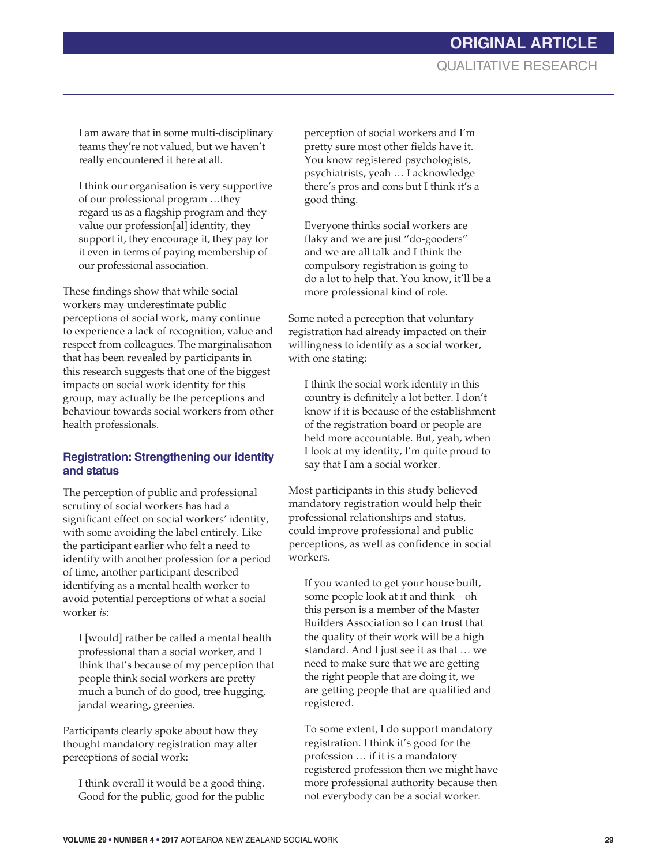I am aware that in some multi-disciplinary teams they're not valued, but we haven't really encountered it here at all.

I think our organisation is very supportive of our professional program …they regard us as a flagship program and they value our profession[al] identity, they support it, they encourage it, they pay for it even in terms of paying membership of our professional association.

These findings show that while social workers may underestimate public perceptions of social work, many continue to experience a lack of recognition, value and respect from colleagues. The marginalisation that has been revealed by participants in this research suggests that one of the biggest impacts on social work identity for this group, may actually be the perceptions and behaviour towards social workers from other health professionals.

# **Registration: Strengthening our identity and status**

The perception of public and professional scrutiny of social workers has had a significant effect on social workers' identity, with some avoiding the label entirely. Like the participant earlier who felt a need to identify with another profession for a period of time, another participant described identifying as a mental health worker to avoid potential perceptions of what a social worker *is*:

I [would] rather be called a mental health professional than a social worker, and I think that's because of my perception that people think social workers are pretty much a bunch of do good, tree hugging, jandal wearing, greenies.

Participants clearly spoke about how they thought mandatory registration may alter perceptions of social work:

I think overall it would be a good thing. Good for the public, good for the public perception of social workers and I'm pretty sure most other fields have it. You know registered psychologists, psychiatrists, yeah … I acknowledge there's pros and cons but I think it's a good thing.

Everyone thinks social workers are flaky and we are just "do-gooders" and we are all talk and I think the compulsory registration is going to do a lot to help that. You know, it'll be a more professional kind of role.

Some noted a perception that voluntary registration had already impacted on their willingness to identify as a social worker, with one stating:

I think the social work identity in this country is definitely a lot better. I don't know if it is because of the establishment of the registration board or people are held more accountable. But, yeah, when I look at my identity, I'm quite proud to say that I am a social worker.

Most participants in this study believed mandatory registration would help their professional relationships and status, could improve professional and public perceptions, as well as confidence in social workers.

If you wanted to get your house built, some people look at it and think – oh this person is a member of the Master Builders Association so I can trust that the quality of their work will be a high standard. And I just see it as that … we need to make sure that we are getting the right people that are doing it, we are getting people that are qualified and registered.

To some extent, I do support mandatory registration. I think it's good for the profession … if it is a mandatory registered profession then we might have more professional authority because then not everybody can be a social worker.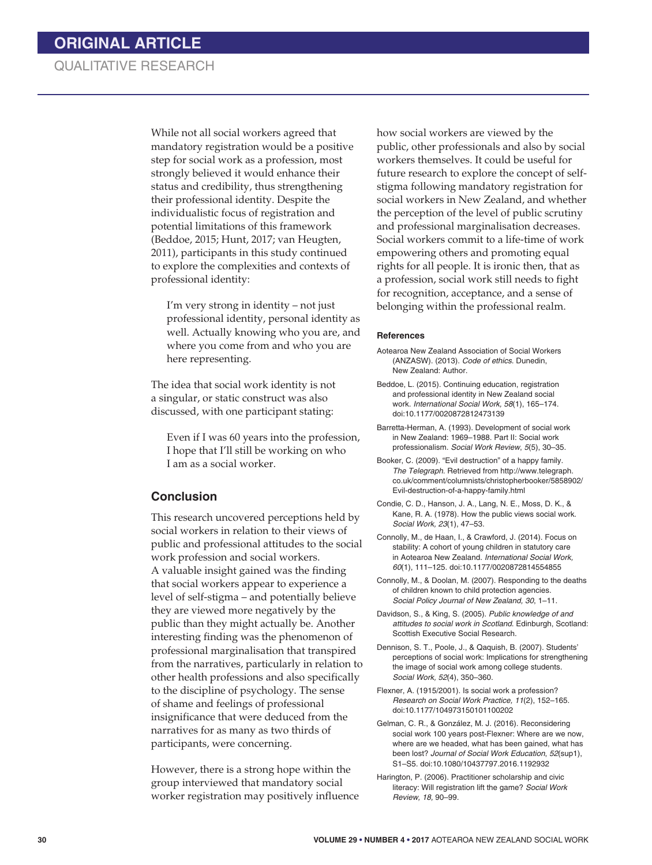# QUALITATIVE RESEARCH

While not all social workers agreed that mandatory registration would be a positive step for social work as a profession, most strongly believed it would enhance their status and credibility, thus strengthening their professional identity. Despite the individualistic focus of registration and potential limitations of this framework (Beddoe, 2015; Hunt, 2017; van Heugten, 2011), participants in this study continued to explore the complexities and contexts of professional identity:

I'm very strong in identity – not just professional identity, personal identity as well. Actually knowing who you are, and where you come from and who you are here representing.

The idea that social work identity is not a singular, or static construct was also discussed, with one participant stating:

Even if I was 60 years into the profession, I hope that I'll still be working on who I am as a social worker.

### **Conclusion**

This research uncovered perceptions held by social workers in relation to their views of public and professional attitudes to the social work profession and social workers. A valuable insight gained was the finding that social workers appear to experience a level of self-stigma – and potentially believe they are viewed more negatively by the public than they might actually be. Another interesting finding was the phenomenon of professional marginalisation that transpired from the narratives, particularly in relation to other health professions and also specifically to the discipline of psychology. The sense of shame and feelings of professional insignificance that were deduced from the narratives for as many as two thirds of participants, were concerning.

However, there is a strong hope within the group interviewed that mandatory social worker registration may positively influence how social workers are viewed by the public, other professionals and also by social workers themselves. It could be useful for future research to explore the concept of selfstigma following mandatory registration for social workers in New Zealand, and whether the perception of the level of public scrutiny and professional marginalisation decreases. Social workers commit to a life-time of work empowering others and promoting equal rights for all people. It is ironic then, that as a profession, social work still needs to fight for recognition, acceptance, and a sense of belonging within the professional realm.

#### **References**

- Aotearoa New Zealand Association of Social Workers (ANZASW). (2013). *Code of ethics*. Dunedin, New Zealand: Author.
- Beddoe, L. (2015). Continuing education, registration and professional identity in New Zealand social work. *International Social Work, 58*(1), 165–174. doi:10.1177/0020872812473139
- Barretta-Herman, A. (1993). Development of social work in New Zealand: 1969–1988. Part II: Social work professionalism. *Social Work Review*, *5*(5), 30–35.

Booker, C. (2009). "Evil destruction" of a happy family. *The Telegraph*. Retrieved from http://www.telegraph. co.uk/comment/columnists/christopherbooker/5858902/ Evil-destruction-of-a-happy-family.html

Condie, C. D., Hanson, J. A., Lang, N. E., Moss, D. K., & Kane, R. A. (1978). How the public views social work. *Social Work, 23*(1), 47–53.

Connolly, M., de Haan, I., & Crawford, J. (2014). Focus on stability: A cohort of young children in statutory care in Aotearoa New Zealand. *International Social Work, 60*(1), 111–125. doi:10.1177/0020872814554855

Connolly, M., & Doolan, M. (2007). Responding to the deaths of children known to child protection agencies. *Social Policy Journal of New Zealand, 30*, 1–11.

Davidson, S., & King, S. (2005). *Public knowledge of and attitudes to social work in Scotland*. Edinburgh, Scotland: Scottish Executive Social Research.

Dennison, S. T., Poole, J., & Qaquish, B. (2007). Students' perceptions of social work: Implications for strengthening the image of social work among college students. *Social Work, 52*(4), 350–360.

Flexner, A. (1915/2001). Is social work a profession? *Research on Social Work Practice, 11*(2), 152–165. doi:10.1177/104973150101100202

Gelman, C. R., & González, M. J. (2016). Reconsidering social work 100 years post-Flexner: Where are we now, where are we headed, what has been gained, what has been lost? *Journal of Social Work Education*, *52*(sup1), S1–S5. doi:10.1080/10437797.2016.1192932

Harington, P. (2006). Practitioner scholarship and civic literacy: Will registration lift the game? *Social Work Review, 18,* 90–99.